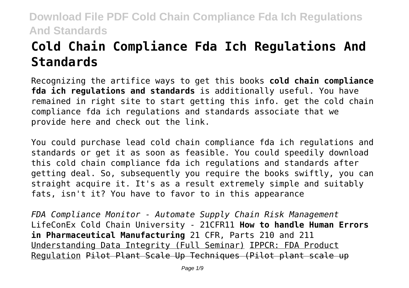# **Cold Chain Compliance Fda Ich Regulations And Standards**

Recognizing the artifice ways to get this books **cold chain compliance fda ich regulations and standards** is additionally useful. You have remained in right site to start getting this info. get the cold chain compliance fda ich regulations and standards associate that we provide here and check out the link.

You could purchase lead cold chain compliance fda ich regulations and standards or get it as soon as feasible. You could speedily download this cold chain compliance fda ich regulations and standards after getting deal. So, subsequently you require the books swiftly, you can straight acquire it. It's as a result extremely simple and suitably fats, isn't it? You have to favor to in this appearance

*FDA Compliance Monitor - Automate Supply Chain Risk Management* LifeConEx Cold Chain University - 21CFR11 **How to handle Human Errors in Pharmaceutical Manufacturing** 21 CFR, Parts 210 and 211 Understanding Data Integrity (Full Seminar) IPPCR: FDA Product Regulation Pilot Plant Scale Up Techniques (Pilot plant scale up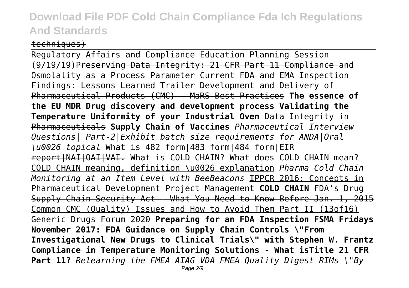#### techniques)

Regulatory Affairs and Compliance Education Planning Session (9/19/19)Preserving Data Integrity: 21 CFR Part 11 Compliance and Osmolality as a Process Parameter Current FDA and EMA Inspection Findings: Lessons Learned Trailer Development and Delivery of Pharmaceutical Products (CMC) - MaRS Best Practices **The essence of the EU MDR Drug discovery and development process Validating the Temperature Uniformity of your Industrial Oven** Data Integrity in Pharmaceuticals **Supply Chain of Vaccines** *Pharmaceutical Interview Questions| Part-2|Exhibit batch size requirements for ANDA|Oral \u0026 topical* What is 482 form|483 form|484 form|EIR report|NAI|OAI|VAI. What is COLD CHAIN? What does COLD CHAIN mean? COLD CHAIN meaning, definition \u0026 explanation *Pharma Cold Chain Monitoring at an Item Level with BeeBeacons* IPPCR 2016: Concepts in Pharmaceutical Development Project Management **COLD CHAIN** FDA's Drug Supply Chain Security Act - What You Need to Know Before Jan. 1, 2015 Common CMC (Quality) Issues and How to Avoid Them Part II (13of16) Generic Drugs Forum 2020 **Preparing for an FDA Inspection FSMA Fridays November 2017: FDA Guidance on Supply Chain Controls \"From Investigational New Drugs to Clinical Trials\" with Stephen W. Frantz Compliance in Temperature Monitoring Solutions - What isTitle 21 CFR Part 11?** *Relearning the FMEA AIAG VDA FMEA Quality Digest RIMs \"By*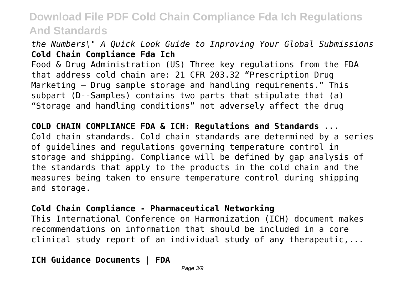### *the Numbers\" A Quick Look Guide to Inproving Your Global Submissions* **Cold Chain Compliance Fda Ich**

Food & Drug Administration (US) Three key regulations from the FDA that address cold chain are: 21 CFR 203.32 "Prescription Drug Marketing – Drug sample storage and handling requirements." This subpart (D--Samples) contains two parts that stipulate that (a) "Storage and handling conditions" not adversely affect the drug

**COLD CHAIN COMPLIANCE FDA & ICH: Regulations and Standards ...** Cold chain standards. Cold chain standards are determined by a series of guidelines and regulations governing temperature control in storage and shipping. Compliance will be defined by gap analysis of the standards that apply to the products in the cold chain and the measures being taken to ensure temperature control during shipping and storage.

#### **Cold Chain Compliance - Pharmaceutical Networking**

This International Conference on Harmonization (ICH) document makes recommendations on information that should be included in a core clinical study report of an individual study of any therapeutic,...

**ICH Guidance Documents | FDA**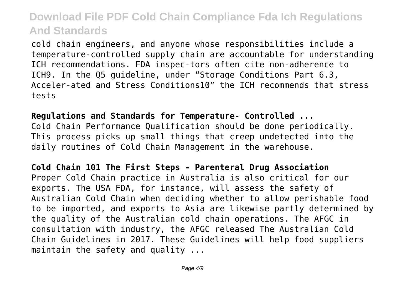cold chain engineers, and anyone whose responsibilities include a temperature-controlled supply chain are accountable for understanding ICH recommendations. FDA inspec-tors often cite non-adherence to ICH9. In the Q5 guideline, under "Storage Conditions Part 6.3, Acceler-ated and Stress Conditions10" the ICH recommends that stress tests

**Regulations and Standards for Temperature- Controlled ...** Cold Chain Performance Qualification should be done periodically. This process picks up small things that creep undetected into the daily routines of Cold Chain Management in the warehouse.

**Cold Chain 101 The First Steps - Parenteral Drug Association** Proper Cold Chain practice in Australia is also critical for our exports. The USA FDA, for instance, will assess the safety of Australian Cold Chain when deciding whether to allow perishable food to be imported, and exports to Asia are likewise partly determined by the quality of the Australian cold chain operations. The AFGC in consultation with industry, the AFGC released The Australian Cold Chain Guidelines in 2017. These Guidelines will help food suppliers maintain the safety and quality ...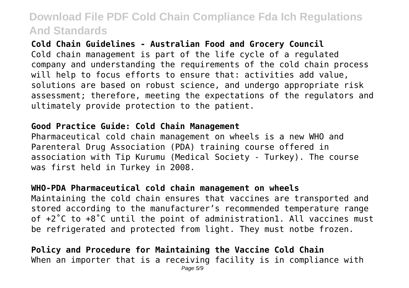**Cold Chain Guidelines - Australian Food and Grocery Council** Cold chain management is part of the life cycle of a regulated company and understanding the requirements of the cold chain process will help to focus efforts to ensure that: activities add value, solutions are based on robust science, and undergo appropriate risk assessment; therefore, meeting the expectations of the regulators and ultimately provide protection to the patient.

#### **Good Practice Guide: Cold Chain Management**

Pharmaceutical cold chain management on wheels is a new WHO and Parenteral Drug Association (PDA) training course offered in association with Tip Kurumu (Medical Society - Turkey). The course was first held in Turkey in 2008.

#### **WHO-PDA Pharmaceutical cold chain management on wheels**

Maintaining the cold chain ensures that vaccines are transported and stored according to the manufacturer's recommended temperature range of +2˚C to +8˚C until the point of administration1. All vaccines must be refrigerated and protected from light. They must notbe frozen.

**Policy and Procedure for Maintaining the Vaccine Cold Chain** When an importer that is a receiving facility is in compliance with Page 5/9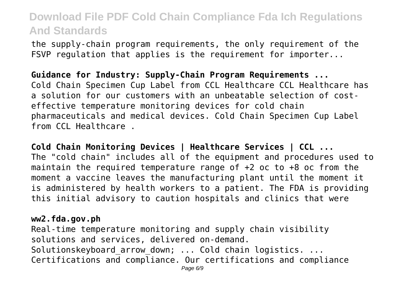the supply-chain program requirements, the only requirement of the FSVP regulation that applies is the requirement for importer...

**Guidance for Industry: Supply-Chain Program Requirements ...** Cold Chain Specimen Cup Label from CCL Healthcare CCL Healthcare has a solution for our customers with an unbeatable selection of costeffective temperature monitoring devices for cold chain pharmaceuticals and medical devices. Cold Chain Specimen Cup Label from CCL Healthcare .

**Cold Chain Monitoring Devices | Healthcare Services | CCL ...** The "cold chain" includes all of the equipment and procedures used to maintain the required temperature range of +2 oc to +8 oc from the moment a vaccine leaves the manufacturing plant until the moment it is administered by health workers to a patient. The FDA is providing this initial advisory to caution hospitals and clinics that were

#### **ww2.fda.gov.ph**

Real-time temperature monitoring and supply chain visibility solutions and services, delivered on-demand. Solutionskeyboard arrow down; ... Cold chain logistics. ... Certifications and compliance. Our certifications and compliance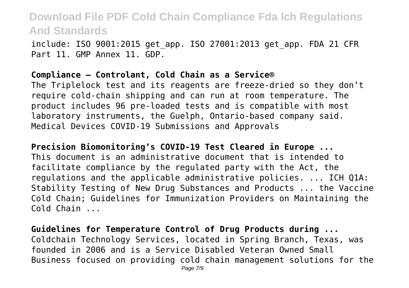include: ISO 9001:2015 get\_app. ISO 27001:2013 get\_app. FDA 21 CFR Part 11. GMP Annex 11. GDP.

#### **Compliance – Controlant, Cold Chain as a Service®**

The Triplelock test and its reagents are freeze-dried so they don't require cold-chain shipping and can run at room temperature. The product includes 96 pre-loaded tests and is compatible with most laboratory instruments, the Guelph, Ontario-based company said. Medical Devices COVID-19 Submissions and Approvals

**Precision Biomonitoring's COVID-19 Test Cleared in Europe ...** This document is an administrative document that is intended to facilitate compliance by the regulated party with the Act, the regulations and the applicable administrative policies. ... ICH Q1A: Stability Testing of New Drug Substances and Products ... the Vaccine Cold Chain; Guidelines for Immunization Providers on Maintaining the Cold Chain ...

**Guidelines for Temperature Control of Drug Products during ...** Coldchain Technology Services, located in Spring Branch, Texas, was founded in 2006 and is a Service Disabled Veteran Owned Small Business focused on providing cold chain management solutions for the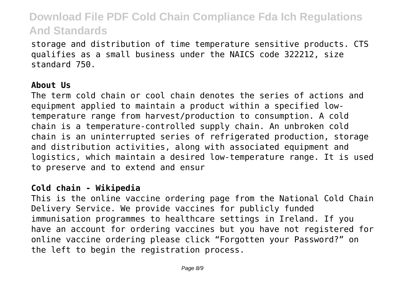storage and distribution of time temperature sensitive products. CTS qualifies as a small business under the NAICS code 322212, size standard 750.

#### **About Us**

The term cold chain or cool chain denotes the series of actions and equipment applied to maintain a product within a specified lowtemperature range from harvest/production to consumption. A cold chain is a temperature-controlled supply chain. An unbroken cold chain is an uninterrupted series of refrigerated production, storage and distribution activities, along with associated equipment and logistics, which maintain a desired low-temperature range. It is used to preserve and to extend and ensur

#### **Cold chain - Wikipedia**

This is the online vaccine ordering page from the National Cold Chain Delivery Service. We provide vaccines for publicly funded immunisation programmes to healthcare settings in Ireland. If you have an account for ordering vaccines but you have not registered for online vaccine ordering please click "Forgotten your Password?" on the left to begin the registration process.